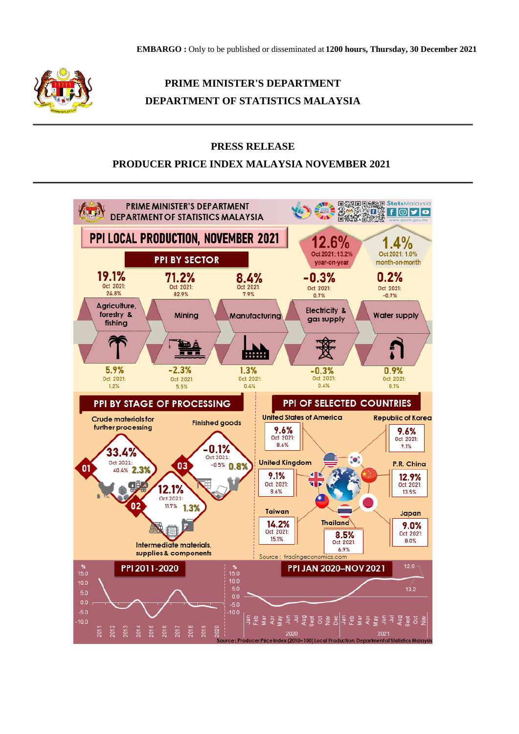

# **PRIME MINISTER'S DEPARTMENT DEPARTMENT OF STATISTICS MALAYSIA**

### **PRESS RELEASE**

## **PRODUCER PRICE INDEX MALAYSIA NOVEMBER 2021**

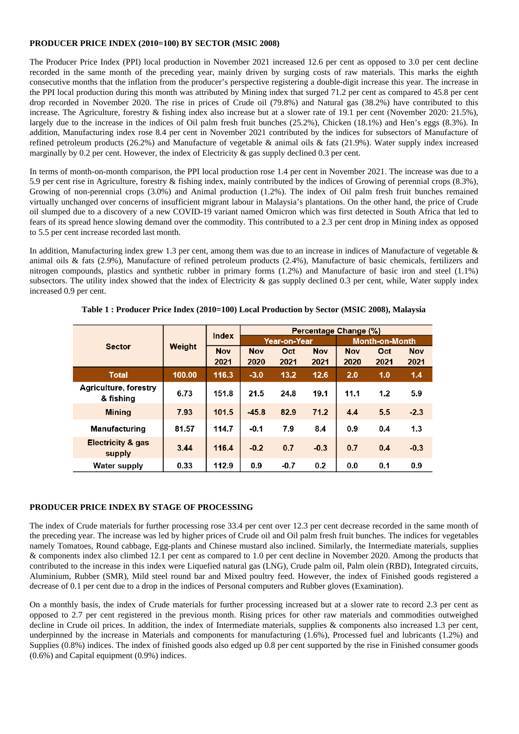#### **PRODUCER PRICE INDEX (2010=100) BY SECTOR (MSIC 2008)**

The Producer Price Index (PPI) local production in November 2021 increased 12.6 per cent as opposed to 3.0 per cent decline recorded in the same month of the preceding year, mainly driven by surging costs of raw materials. This marks the eighth consecutive months that the inflation from the producer's perspective registering a double-digit increase this year. The increase in the PPI local production during this month was attributed by Mining index that surged 71.2 per cent as compared to 45.8 per cent drop recorded in November 2020. The rise in prices of Crude oil (79.8%) and Natural gas (38.2%) have contributed to this increase. The Agriculture, forestry & fishing index also increase but at a slower rate of 19.1 per cent (November 2020: 21.5%), largely due to the increase in the indices of Oil palm fresh fruit bunches (25.2%), Chicken (18.1%) and Hen's eggs (8.3%). In addition, Manufacturing index rose 8.4 per cent in November 2021 contributed by the indices for subsectors of Manufacture of refined petroleum products (26.2%) and Manufacture of vegetable & animal oils & fats (21.9%). Water supply index increased marginally by 0.2 per cent. However, the index of Electricity  $\&$  gas supply declined 0.3 per cent.

In terms of month-on-month comparison, the PPI local production rose 1.4 per cent in November 2021. The increase was due to a 5.9 per cent rise in Agriculture, forestry & fishing index, mainly contributed by the indices of Growing of perennial crops (8.3%), Growing of non-perennial crops (3.0%) and Animal production (1.2%). The index of Oil palm fresh fruit bunches remained virtually unchanged over concerns of insufficient migrant labour in Malaysia's plantations. On the other hand, the price of Crude oil slumped due to a discovery of a new COVID-19 variant named Omicron which was first detected in South Africa that led to fears of its spread hence slowing demand over the commodity. This contributed to a 2.3 per cent drop in Mining index as opposed to 5.5 per cent increase recorded last month.

In addition, Manufacturing index grew 1.3 per cent, among them was due to an increase in indices of Manufacture of vegetable & animal oils & fats (2.9%), Manufacture of refined petroleum products (2.4%), Manufacture of basic chemicals, fertilizers and nitrogen compounds, plastics and synthetic rubber in primary forms (1.2%) and Manufacture of basic iron and steel (1.1%) subsectors. The utility index showed that the index of Electricity  $\&$  gas supply declined 0.3 per cent, while, Water supply index increased 0.9 per cent.

| <b>Sector</b>                          | Weight | Index      | Percentage Change (%) |        |            |                       |      |            |
|----------------------------------------|--------|------------|-----------------------|--------|------------|-----------------------|------|------------|
|                                        |        |            | <b>Year-on-Year</b>   |        |            | <b>Month-on-Month</b> |      |            |
|                                        |        | <b>Nov</b> | <b>Nov</b>            | Oct    | <b>Nov</b> | <b>Nov</b>            | Oct  | <b>Nov</b> |
|                                        |        | 2021       | 2020                  | 2021   | 2021       | 2020                  | 2021 | 2021       |
| <b>Total</b>                           | 100.00 | 116.3      | $-3.0$                | 13.2   | 12.6       | 2.0                   | 1.0  | 1.4        |
| Agriculture, forestry<br>& fishing     | 6.73   | 151.8      | 21.5                  | 24.8   | 19.1       | 11.1                  | 1.2  | 5.9        |
| <b>Mining</b>                          | 7.93   | 101.5      | $-45.8$               | 82.9   | 71.2       | 4.4                   | 5.5  | $-2.3$     |
| <b>Manufacturing</b>                   | 81.57  | 114.7      | $-0.1$                | 79     | 8.4        | 0.9                   | 0.4  | 1.3        |
| <b>Electricity &amp; gas</b><br>supply | 3.44   | 116.4      | $-0.2$                | 0.7    | $-0.3$     | 0.7                   | 0.4  | $-0.3$     |
| <b>Water supply</b>                    | 0.33   | 112.9      | 0.9                   | $-0.7$ | 0.2        | 0.0                   | 0.1  | 0.9        |

**Table 1 : Producer Price Index (2010=100) Local Production by Sector (MSIC 2008), Malaysia**

#### **PRODUCER PRICE INDEX BY STAGE OF PROCESSING**

The index of Crude materials for further processing rose 33.4 per cent over 12.3 per cent decrease recorded in the same month of the preceding year. The increase was led by higher prices of Crude oil and Oil palm fresh fruit bunches. The indices for vegetables namely Tomatoes, Round cabbage, Egg-plants and Chinese mustard also inclined. Similarly, the Intermediate materials, supplies & components index also climbed 12.1 per cent as compared to 1.0 per cent decline in November 2020. Among the products that contributed to the increase in this index were Liquefied natural gas (LNG), Crude palm oil, Palm olein (RBD), Integrated circuits, Aluminium, Rubber (SMR), Mild steel round bar and Mixed poultry feed. However, the index of Finished goods registered a decrease of 0.1 per cent due to a drop in the indices of Personal computers and Rubber gloves (Examination).

On a monthly basis, the index of Crude materials for further processing increased but at a slower rate to record 2.3 per cent as opposed to 2.7 per cent registered in the previous month. Rising prices for other raw materials and commodities outweighed decline in Crude oil prices. In addition, the index of Intermediate materials, supplies & components also increased 1.3 per cent, underpinned by the increase in Materials and components for manufacturing (1.6%), Processed fuel and lubricants (1.2%) and Supplies (0.8%) indices. The index of finished goods also edged up 0.8 per cent supported by the rise in Finished consumer goods (0.6%) and Capital equipment (0.9%) indices.